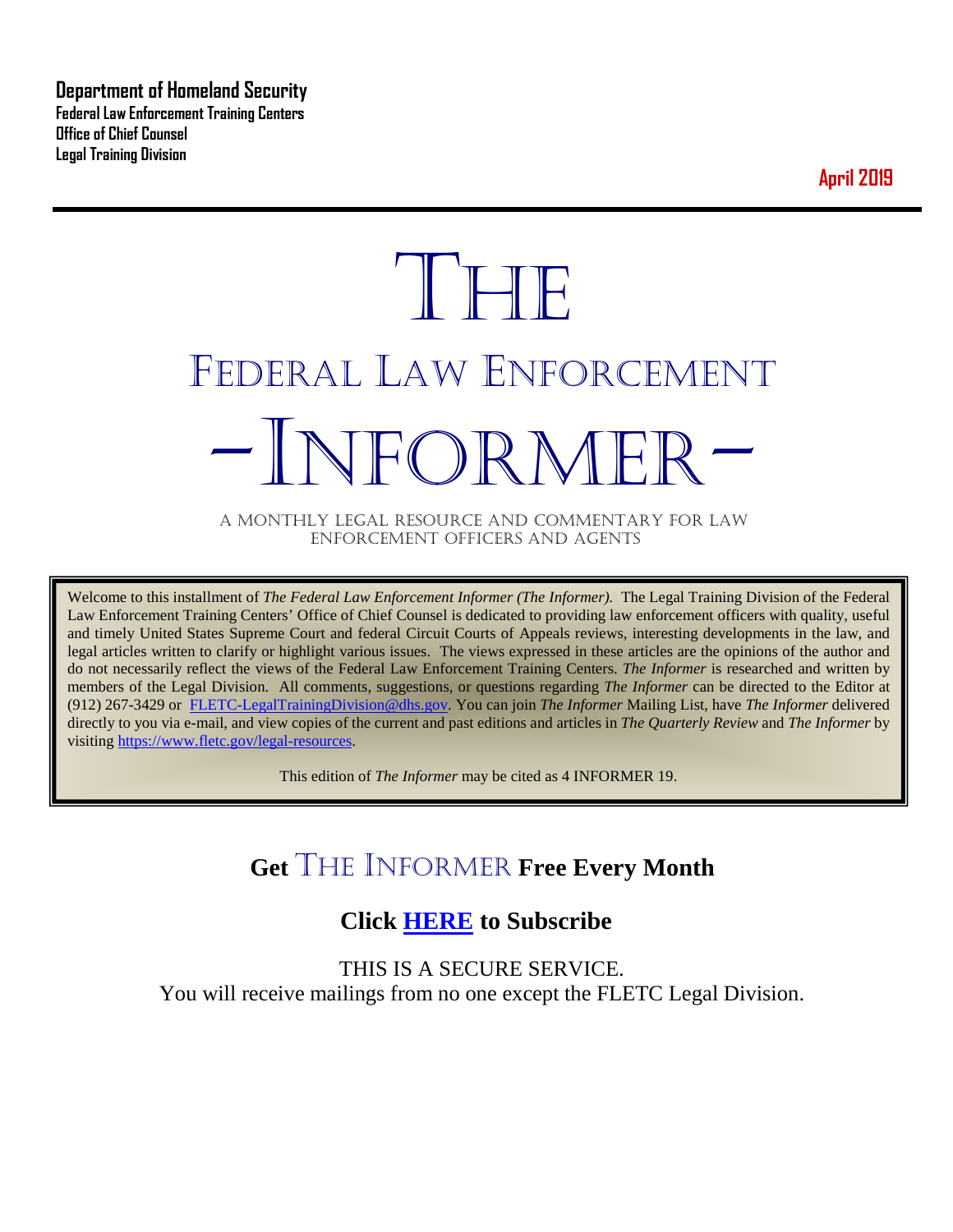**Department of Homeland Security Federal Law Enforcement Training Centers Office of Chief Counsel Legal Training Division** 

**April 2019**

# **THE** FEDERAL LAW ENFORCEMENT -INFORMER- A MONTHLY LEGAL RESOURCE AND COMMENTARY FOR LAW

ENFORCEMENT OFFICERS AND AGENTS

Welcome to this installment of *The Federal Law Enforcement Informer (The Informer).* The Legal Training Division of the Federal Law Enforcement Training Centers' Office of Chief Counsel is dedicated to providing law enforcement officers with quality, useful and timely United States Supreme Court and federal Circuit Courts of Appeals reviews, interesting developments in the law, and legal articles written to clarify or highlight various issues. The views expressed in these articles are the opinions of the author and do not necessarily reflect the views of the Federal Law Enforcement Training Centers. *The Informer* is researched and written by members of the Legal Division. All comments, suggestions, or questions regarding *The Informer* can be directed to the Editor at (912) 267-3429 or [FLETC-LegalTrainingDivision@dhs.gov.](mailto:FLETC-LegalTrainingDivision@dhs.gov) You can join *The Informer* Mailing List, have *The Informer* delivered directly to you via e-mail, and view copies of the current and past editions and articles in *The Quarterly Review* and *The Informer* by visiting [https://www.fletc.gov/legal-resources.](https://www.fletc.gov/legal-resources) 

This edition of *The Informer* may be cited as 4 INFORMER 19.

# **Get** THE INFORMER **Free Every Month**

# **Click [HERE](https://app.co-sender.com/opt-in/list/7b007eab-378b-4542-807f-44d6de94cb7e) to Subscribe**

THIS IS A SECURE SERVICE. You will receive mailings from no one except the FLETC Legal Division.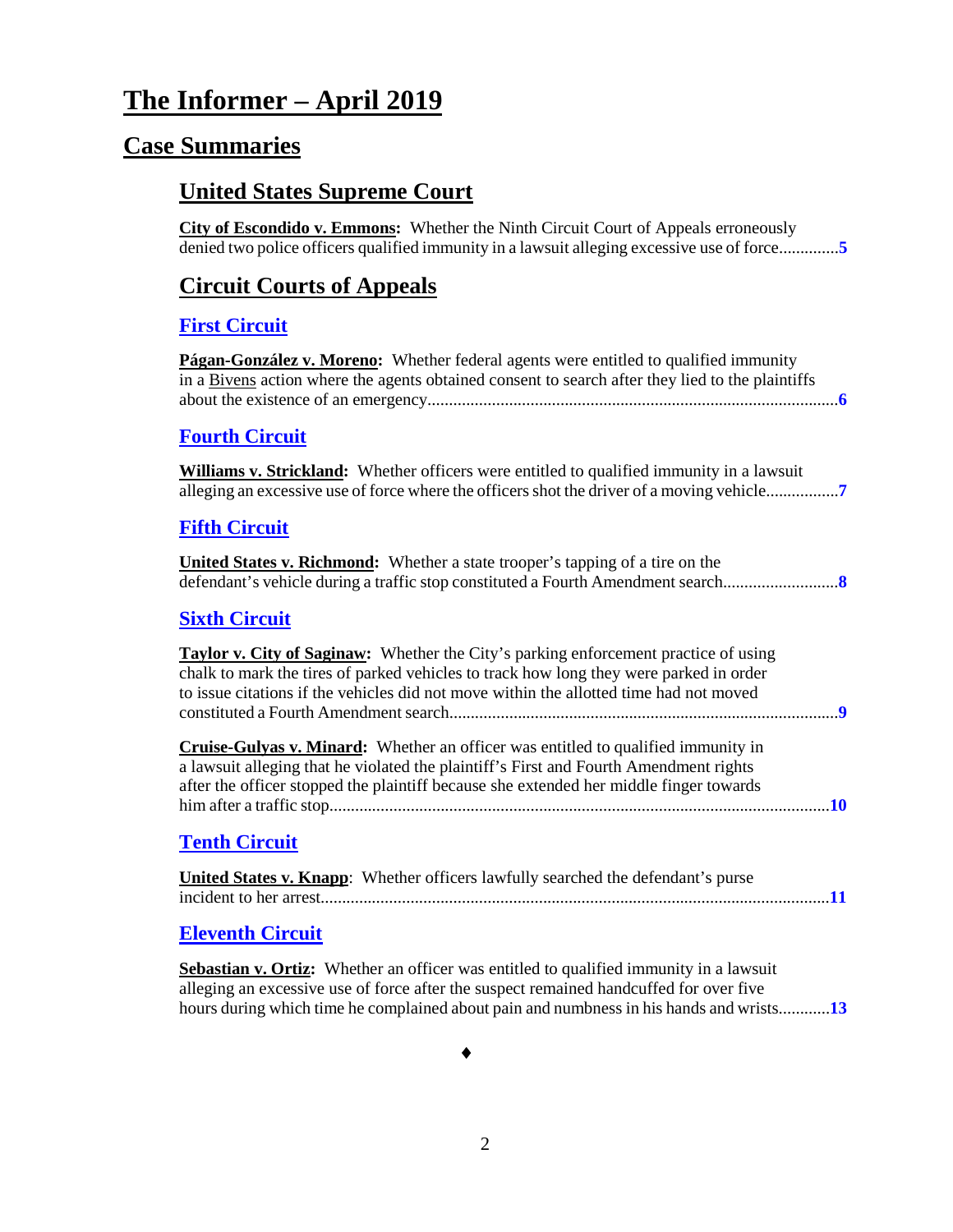# **The Informer – April 2019**

# **Case Summaries**

# **United States Supreme Court**

**City of Escondido v. Emmons:** Whether the Ninth Circuit Court of Appeals erroneously denied two police officers qualified immunity in a lawsuit alleging excessive use of force..............**[5](#page-4-0)**

# **[Circuit Courts of Appeals](#page-4-0)**

#### **[First Circuit](#page-5-0)**

**Págan-González v. Moreno:** Whether federal agents were entitled to qualified immunity in a Bivens action where the agents obtained consent to search after they lied to the plaintiffs about the existence of an emergency................................................................................................**[6](#page-5-1)**

#### **[Fourth Circuit](#page-6-0)**

**Williams v. Strickland:** Whether officers were entitled to qualified immunity in a lawsuit alleging an excessive use of force where the officers shot the driver of a moving vehicle.................**[7](#page-6-1)**

#### **[Fifth Circuit](#page-7-0)**

**United States v. Richmond:** Whether a state trooper's tapping of a tire on the defendant's vehicle during a traffic stop constituted a Fourth Amendment search...........................**[8](#page-7-1)**

#### **[Sixth Circuit](#page-8-0)**

**Taylor v. City of Saginaw:** Whether the City's parking enforcement practice of using chalk to mark the tires of parked vehicles to track how long they were parked in order to issue citations if the vehicles did not move within the allotted time had not moved constituted a Fourth Amendment search...........................................................................................**[9](#page-8-1)**

**Cruise-Gulyas v. Minard:** Whether an officer was entitled to qualified immunity in a lawsuit alleging that he violated the plaintiff's First and Fourth Amendment rights after the officer stopped the plaintiff because she extended her middle finger towards him after a traffic stop.....................................................................................................................**[10](#page-1-0)**

## <span id="page-1-0"></span>**[Tenth Circuit](#page-10-0)**

| <b>United States v. Knapp:</b> Whether officers lawfully searched the defendant's purse |  |
|-----------------------------------------------------------------------------------------|--|
|                                                                                         |  |

#### **[Eleventh Circuit](#page-12-0)**

**Sebastian v. Ortiz:** Whether an officer was entitled to qualified immunity in a lawsuit alleging an excessive use of force after the suspect remained handcuffed for over five hours during which time he complained about pain and numbness in his hands and wrists............**[13](#page-12-1)**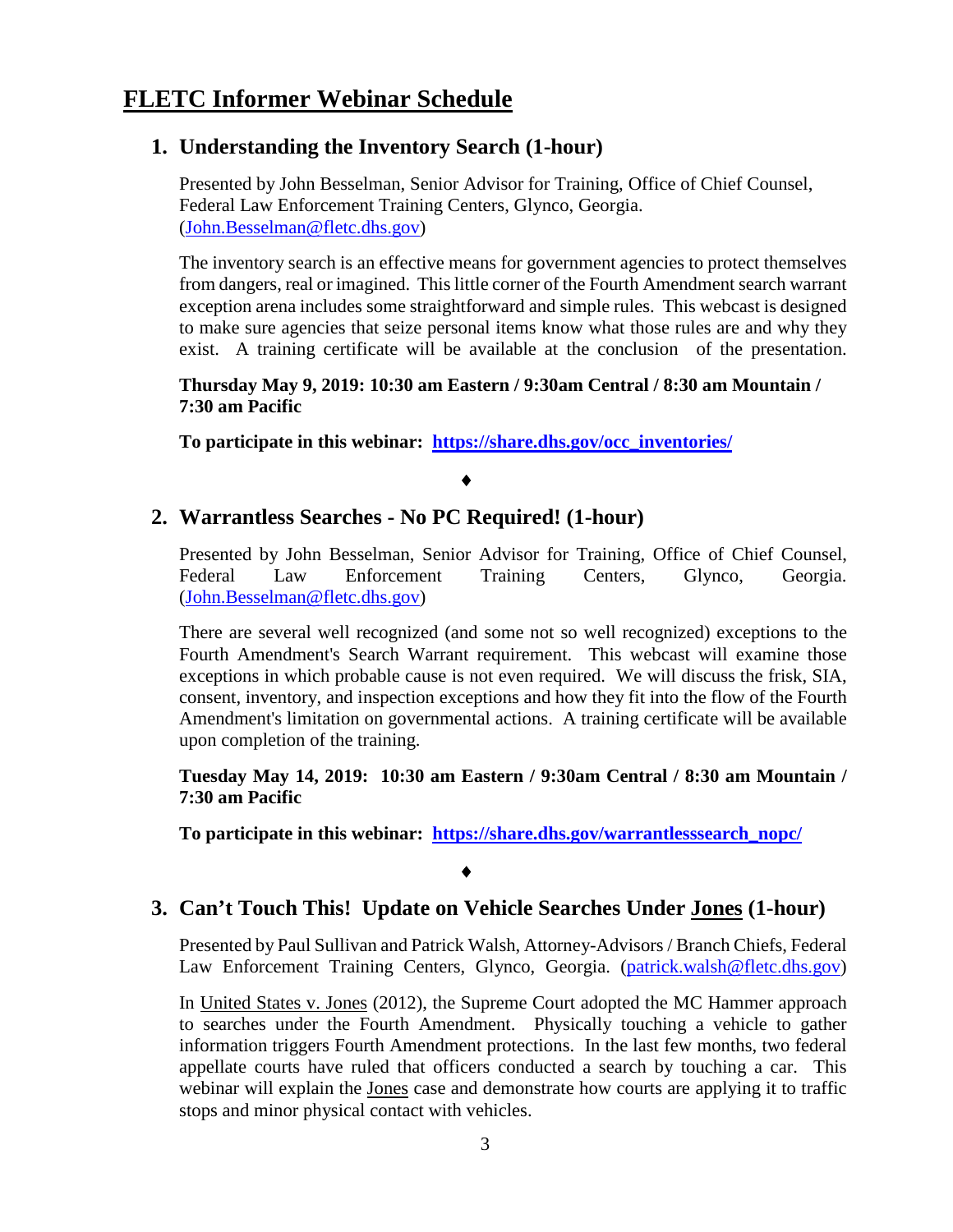# **1. Understanding the Inventory Search (1-hour)**

Presented by John Besselman, Senior Advisor for Training, Office of Chief Counsel, Federal Law Enforcement Training Centers, Glynco, Georgia. [\(John.Besselman@fletc.dhs.gov\)](mailto:John.Besselman@fletc.dhs.gov)

The inventory search is an effective means for government agencies to protect themselves from dangers, real or imagined. This little corner of the Fourth Amendment search warrant exception arena includes some straightforward and simple rules. This webcast is designed to make sure agencies that seize personal items know what those rules are and why they exist. A training certificate will be available at the conclusion of the presentation.

#### **Thursday May 9, 2019: 10:30 am Eastern / 9:30am Central / 8:30 am Mountain / 7:30 am Pacific**

**To participate in this webinar: [https://share.dhs.gov/occ\\_inventories/](https://share.dhs.gov/occ_inventories/)**

## ♦

# **2. Warrantless Searches - No PC Required! (1-hour)**

Presented by John Besselman, Senior Advisor for Training, Office of Chief Counsel, Federal Law Enforcement Training Centers, Glynco, Georgia. [\(John.Besselman@fletc.dhs.gov\)](mailto:John.Besselman@fletc.dhs.gov)

There are several well recognized (and some not so well recognized) exceptions to the Fourth Amendment's Search Warrant requirement. This webcast will examine those exceptions in which probable cause is not even required. We will discuss the frisk, SIA, consent, inventory, and inspection exceptions and how they fit into the flow of the Fourth Amendment's limitation on governmental actions. A training certificate will be available upon completion of the training.

**Tuesday May 14, 2019: 10:30 am Eastern / 9:30am Central / 8:30 am Mountain / 7:30 am Pacific** 

**To participate in this webinar: [https://share.dhs.gov/warrantlesssearch\\_nopc/](https://share.dhs.gov/warrantlesssearch_nopc/)**

#### ♦

# **3. Can't Touch This! Update on Vehicle Searches Under Jones (1-hour)**

Presented by Paul Sullivan and Patrick Walsh, Attorney-Advisors / Branch Chiefs, Federal Law Enforcement Training Centers, Glynco, Georgia. (patrick.walsh@fletc.dhs.gov)

In United States v. Jones (2012), the Supreme Court adopted the MC Hammer approach to searches under the Fourth Amendment. Physically touching a vehicle to gather information triggers Fourth Amendment protections. In the last few months, two federal appellate courts have ruled that officers conducted a search by touching a car. This webinar will explain the Jones case and demonstrate how courts are applying it to traffic stops and minor physical contact with vehicles.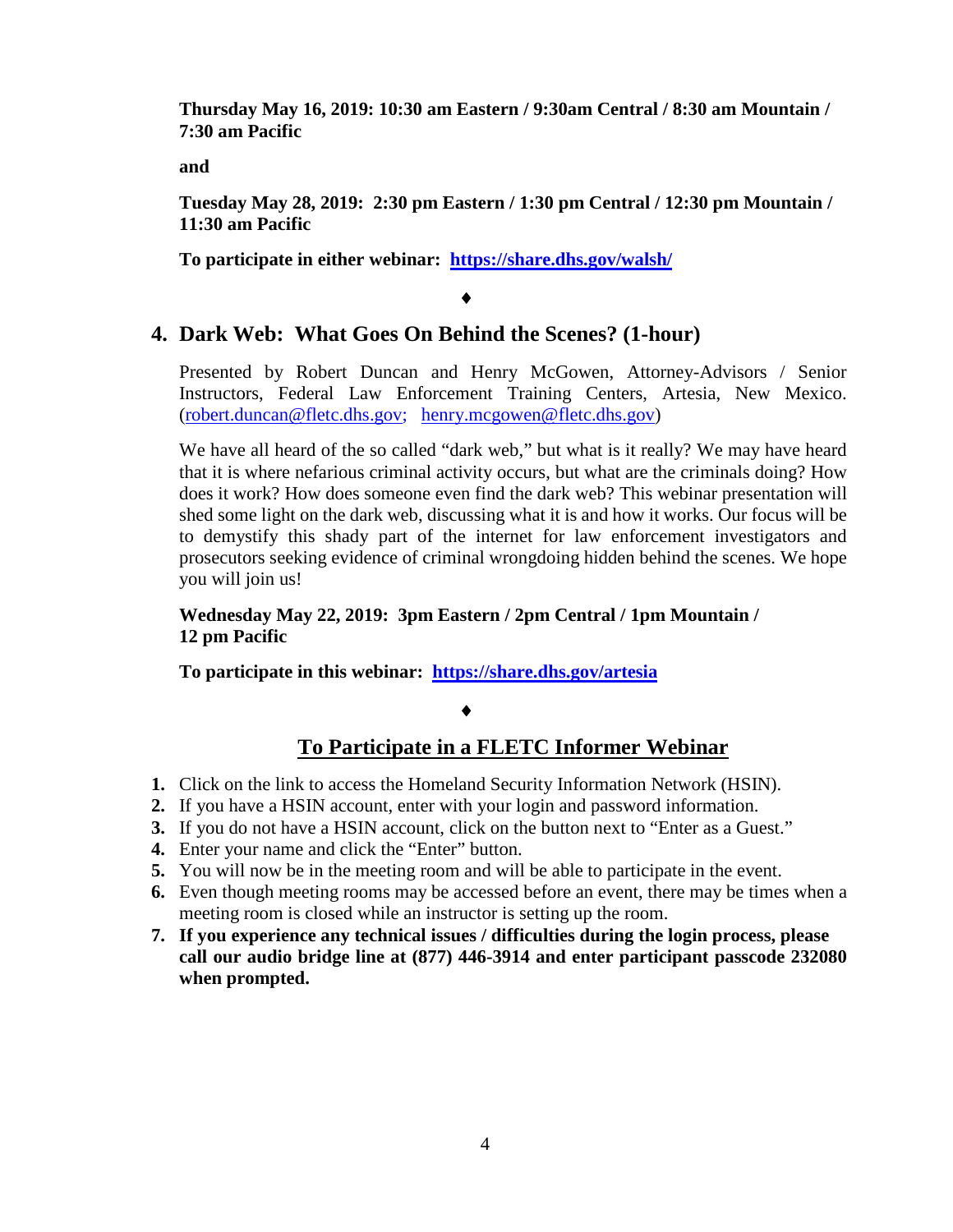**Thursday May 16, 2019: 10:30 am Eastern / 9:30am Central / 8:30 am Mountain / 7:30 am Pacific** 

**and**

**Tuesday May 28, 2019: 2:30 pm Eastern / 1:30 pm Central / 12:30 pm Mountain / 11:30 am Pacific**

**To participate in either webinar: <https://share.dhs.gov/walsh/>**

♦

# **4. Dark Web: What Goes On Behind the Scenes? (1-hour)**

Presented by Robert Duncan and Henry McGowen, Attorney-Advisors / Senior Instructors, Federal Law Enforcement Training Centers, Artesia, New Mexico. [\(robert.duncan@fletc.dhs.gov;](mailto:robert.duncan@fletc.dhs.gov) [henry.mcgowen@fletc.dhs.gov\)](mailto:henry.mcgowen@fletc.dhs.gov)

We have all heard of the so called "dark web," but what is it really? We may have heard that it is where nefarious criminal activity occurs, but what are the criminals doing? How does it work? How does someone even find the dark web? This webinar presentation will shed some light on the dark web, discussing what it is and how it works. Our focus will be to demystify this shady part of the internet for law enforcement investigators and prosecutors seeking evidence of criminal wrongdoing hidden behind the scenes. We hope you will join us!

**Wednesday May 22, 2019: 3pm Eastern / 2pm Central / 1pm Mountain / 12 pm Pacific**

**To participate in this webinar: <https://share.dhs.gov/artesia>**

♦

# **To Participate in a FLETC Informer Webinar**

- **1.** Click on the link to access the Homeland Security Information Network (HSIN).
- **2.** If you have a HSIN account, enter with your login and password information.
- **3.** If you do not have a HSIN account, click on the button next to "Enter as a Guest."
- **4.** Enter your name and click the "Enter" button.
- **5.** You will now be in the meeting room and will be able to participate in the event.
- **6.** Even though meeting rooms may be accessed before an event, there may be times when a meeting room is closed while an instructor is setting up the room.
- **7. If you experience any technical issues / difficulties during the login process, please call our audio bridge line at (877) 446-3914 and enter participant passcode 232080 when prompted.**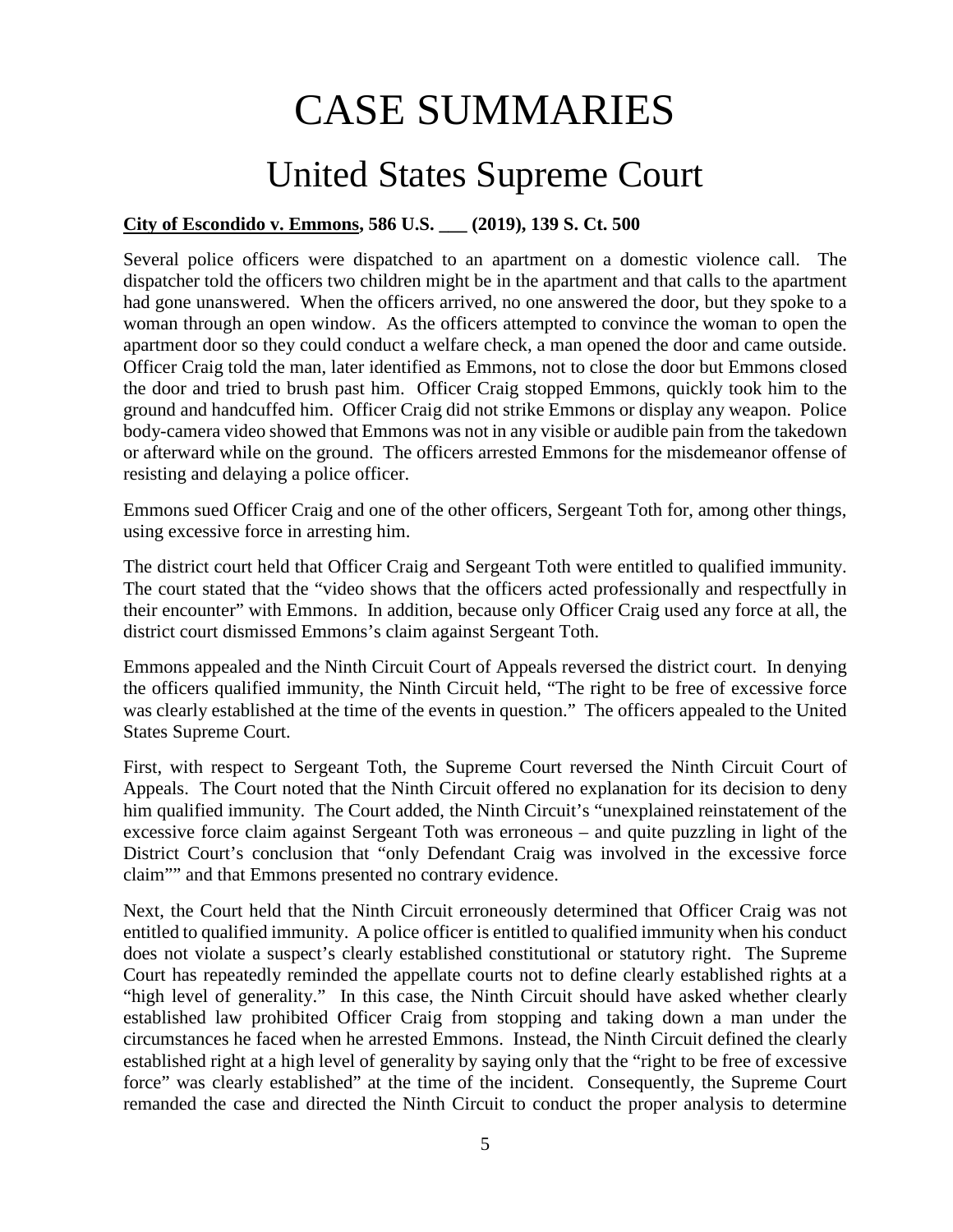# CASE SUMMARIES

# United States Supreme Court

## <span id="page-4-0"></span>**City of Escondido v. Emmons, 586 U.S. \_\_\_ (2019), 139 S. Ct. 500**

Several police officers were dispatched to an apartment on a domestic violence call. The dispatcher told the officers two children might be in the apartment and that calls to the apartment had gone unanswered. When the officers arrived, no one answered the door, but they spoke to a woman through an open window. As the officers attempted to convince the woman to open the apartment door so they could conduct a welfare check, a man opened the door and came outside. Officer Craig told the man, later identified as Emmons, not to close the door but Emmons closed the door and tried to brush past him. Officer Craig stopped Emmons, quickly took him to the ground and handcuffed him. Officer Craig did not strike Emmons or display any weapon. Police body-camera video showed that Emmons was not in any visible or audible pain from the takedown or afterward while on the ground. The officers arrested Emmons for the misdemeanor offense of resisting and delaying a police officer.

Emmons sued Officer Craig and one of the other officers, Sergeant Toth for, among other things, using excessive force in arresting him.

The district court held that Officer Craig and Sergeant Toth were entitled to qualified immunity. The court stated that the "video shows that the officers acted professionally and respectfully in their encounter" with Emmons. In addition, because only Officer Craig used any force at all, the district court dismissed Emmons's claim against Sergeant Toth.

Emmons appealed and the Ninth Circuit Court of Appeals reversed the district court. In denying the officers qualified immunity, the Ninth Circuit held, "The right to be free of excessive force was clearly established at the time of the events in question." The officers appealed to the United States Supreme Court.

First, with respect to Sergeant Toth, the Supreme Court reversed the Ninth Circuit Court of Appeals. The Court noted that the Ninth Circuit offered no explanation for its decision to deny him qualified immunity. The Court added, the Ninth Circuit's "unexplained reinstatement of the excessive force claim against Sergeant Toth was erroneous – and quite puzzling in light of the District Court's conclusion that "only Defendant Craig was involved in the excessive force claim"" and that Emmons presented no contrary evidence.

Next, the Court held that the Ninth Circuit erroneously determined that Officer Craig was not entitled to qualified immunity. A police officer is entitled to qualified immunity when his conduct does not violate a suspect's clearly established constitutional or statutory right. The Supreme Court has repeatedly reminded the appellate courts not to define clearly established rights at a "high level of generality." In this case, the Ninth Circuit should have asked whether clearly established law prohibited Officer Craig from stopping and taking down a man under the circumstances he faced when he arrested Emmons. Instead, the Ninth Circuit defined the clearly established right at a high level of generality by saying only that the "right to be free of excessive force" was clearly established" at the time of the incident. Consequently, the Supreme Court remanded the case and directed the Ninth Circuit to conduct the proper analysis to determine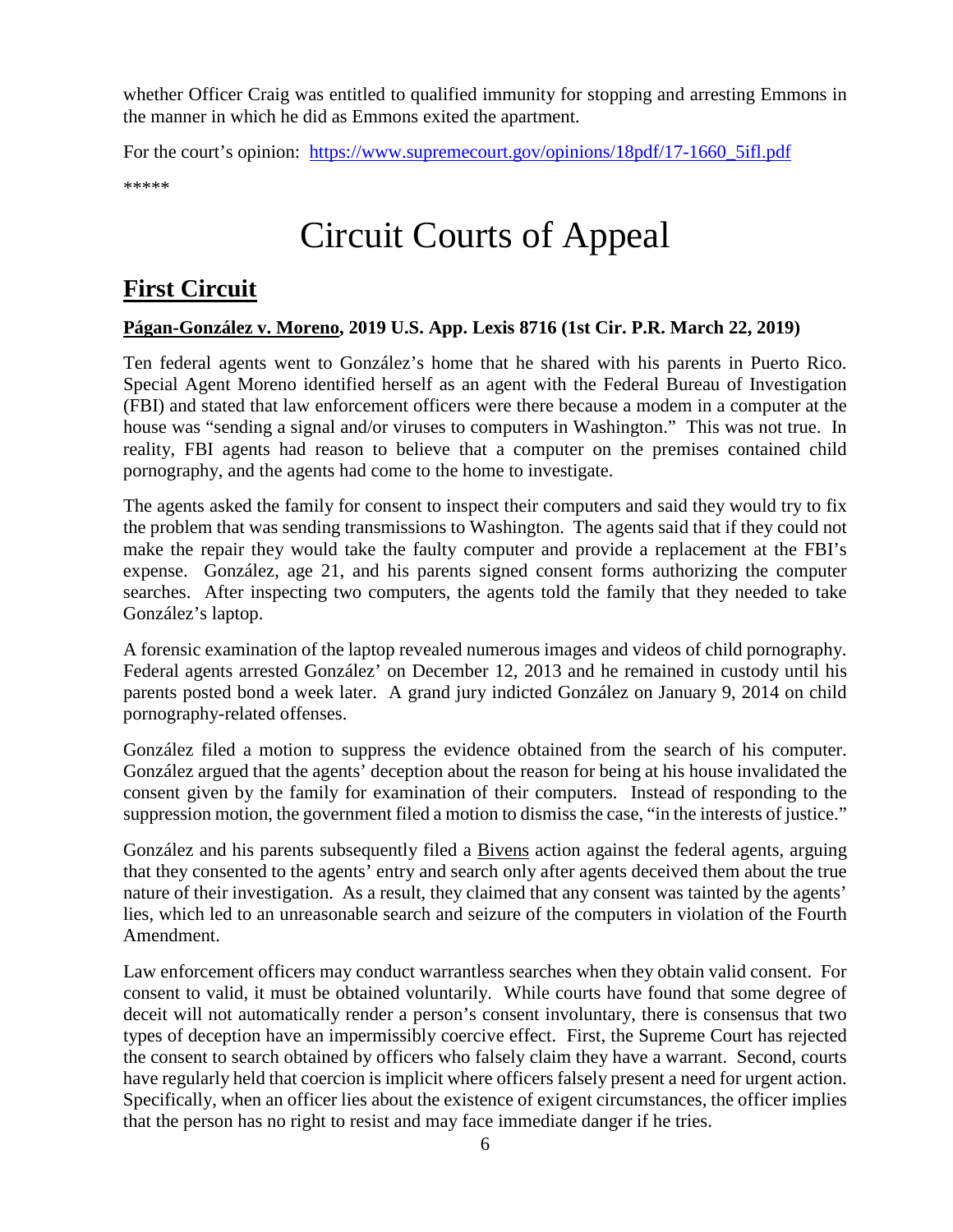whether Officer Craig was entitled to qualified immunity for stopping and arresting Emmons in the manner in which he did as Emmons exited the apartment.

For the court's opinion: [https://www.supremecourt.gov/opinions/18pdf/17-1660\\_5ifl.pdf](https://www.supremecourt.gov/opinions/18pdf/17-1660_5ifl.pdf) \*\*\*\*\*

# Circuit Courts of Appeal

# <span id="page-5-0"></span>**First Circuit**

#### <span id="page-5-1"></span>**Págan-González v. Moreno, 2019 U.S. App. Lexis 8716 (1st Cir. P.R. March 22, 2019)**

Ten federal agents went to González's home that he shared with his parents in Puerto Rico. Special Agent Moreno identified herself as an agent with the Federal Bureau of Investigation (FBI) and stated that law enforcement officers were there because a modem in a computer at the house was "sending a signal and/or viruses to computers in Washington." This was not true. In reality, FBI agents had reason to believe that a computer on the premises contained child pornography, and the agents had come to the home to investigate.

The agents asked the family for consent to inspect their computers and said they would try to fix the problem that was sending transmissions to Washington. The agents said that if they could not make the repair they would take the faulty computer and provide a replacement at the FBI's expense. González, age 21, and his parents signed consent forms authorizing the computer searches. After inspecting two computers, the agents told the family that they needed to take González's laptop.

A forensic examination of the laptop revealed numerous images and videos of child pornography. Federal agents arrested González' on December 12, 2013 and he remained in custody until his parents posted bond a week later. A grand jury indicted González on January 9, 2014 on child pornography-related offenses.

González filed a motion to suppress the evidence obtained from the search of his computer. González argued that the agents' deception about the reason for being at his house invalidated the consent given by the family for examination of their computers. Instead of responding to the suppression motion, the government filed a motion to dismiss the case, "in the interests of justice."

González and his parents subsequently filed a Bivens action against the federal agents, arguing that they consented to the agents' entry and search only after agents deceived them about the true nature of their investigation. As a result, they claimed that any consent was tainted by the agents' lies, which led to an unreasonable search and seizure of the computers in violation of the Fourth Amendment.

Law enforcement officers may conduct warrantless searches when they obtain valid consent. For consent to valid, it must be obtained voluntarily. While courts have found that some degree of deceit will not automatically render a person's consent involuntary, there is consensus that two types of deception have an impermissibly coercive effect. First, the Supreme Court has rejected the consent to search obtained by officers who falsely claim they have a warrant. Second, courts have regularly held that coercion is implicit where officers falsely present a need for urgent action. Specifically, when an officer lies about the existence of exigent circumstances, the officer implies that the person has no right to resist and may face immediate danger if he tries.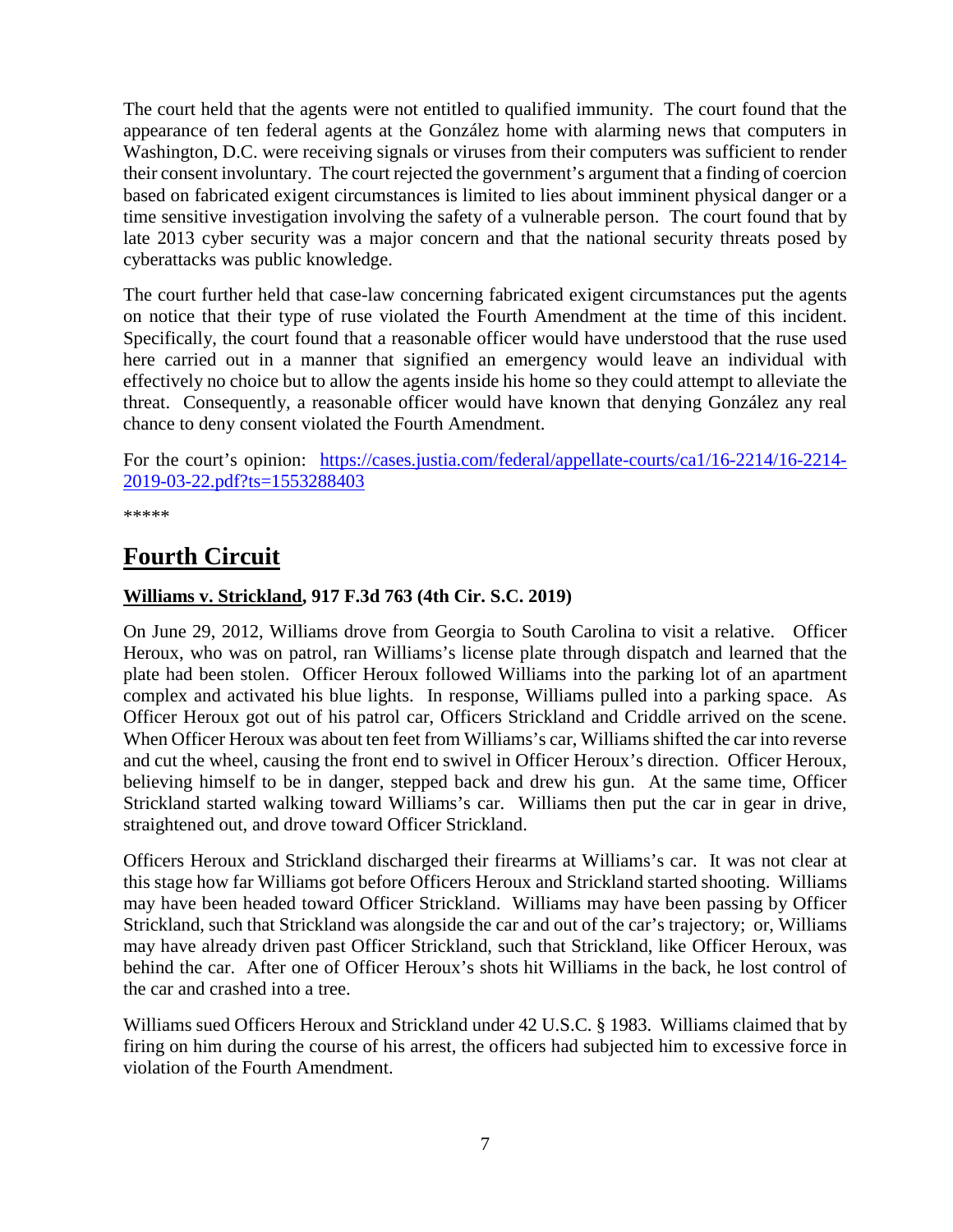The court held that the agents were not entitled to qualified immunity. The court found that the appearance of ten federal agents at the González home with alarming news that computers in Washington, D.C. were receiving signals or viruses from their computers was sufficient to render their consent involuntary. The court rejected the government's argument that a finding of coercion based on fabricated exigent circumstances is limited to lies about imminent physical danger or a time sensitive investigation involving the safety of a vulnerable person. The court found that by late 2013 cyber security was a major concern and that the national security threats posed by cyberattacks was public knowledge.

The court further held that case-law concerning fabricated exigent circumstances put the agents on notice that their type of ruse violated the Fourth Amendment at the time of this incident. Specifically, the court found that a reasonable officer would have understood that the ruse used here carried out in a manner that signified an emergency would leave an individual with effectively no choice but to allow the agents inside his home so they could attempt to alleviate the threat. Consequently, a reasonable officer would have known that denying González any real chance to deny consent violated the Fourth Amendment.

For the court's opinion: [https://cases.justia.com/federal/appellate-courts/ca1/16-2214/16-2214-](https://cases.justia.com/federal/appellate-courts/ca1/16-2214/16-2214-2019-03-22.pdf?ts=1553288403) [2019-03-22.pdf?ts=1553288403](https://cases.justia.com/federal/appellate-courts/ca1/16-2214/16-2214-2019-03-22.pdf?ts=1553288403)

\*\*\*\*\*

# <span id="page-6-0"></span>**Fourth Circuit**

#### <span id="page-6-1"></span>**Williams v. Strickland, 917 F.3d 763 (4th Cir. S.C. 2019)**

On June 29, 2012, Williams drove from Georgia to South Carolina to visit a relative. Officer Heroux, who was on patrol, ran Williams's license plate through dispatch and learned that the plate had been stolen. Officer Heroux followed Williams into the parking lot of an apartment complex and activated his blue lights. In response, Williams pulled into a parking space. As Officer Heroux got out of his patrol car, Officers Strickland and Criddle arrived on the scene. When Officer Heroux was about ten feet from Williams's car, Williams shifted the car into reverse and cut the wheel, causing the front end to swivel in Officer Heroux's direction. Officer Heroux, believing himself to be in danger, stepped back and drew his gun. At the same time, Officer Strickland started walking toward Williams's car. Williams then put the car in gear in drive, straightened out, and drove toward Officer Strickland.

Officers Heroux and Strickland discharged their firearms at Williams's car. It was not clear at this stage how far Williams got before Officers Heroux and Strickland started shooting. Williams may have been headed toward Officer Strickland. Williams may have been passing by Officer Strickland, such that Strickland was alongside the car and out of the car's trajectory; or, Williams may have already driven past Officer Strickland, such that Strickland, like Officer Heroux, was behind the car. After one of Officer Heroux's shots hit Williams in the back, he lost control of the car and crashed into a tree.

Williams sued Officers Heroux and Strickland under 42 U.S.C. § 1983. Williams claimed that by firing on him during the course of his arrest, the officers had subjected him to excessive force in violation of the Fourth Amendment.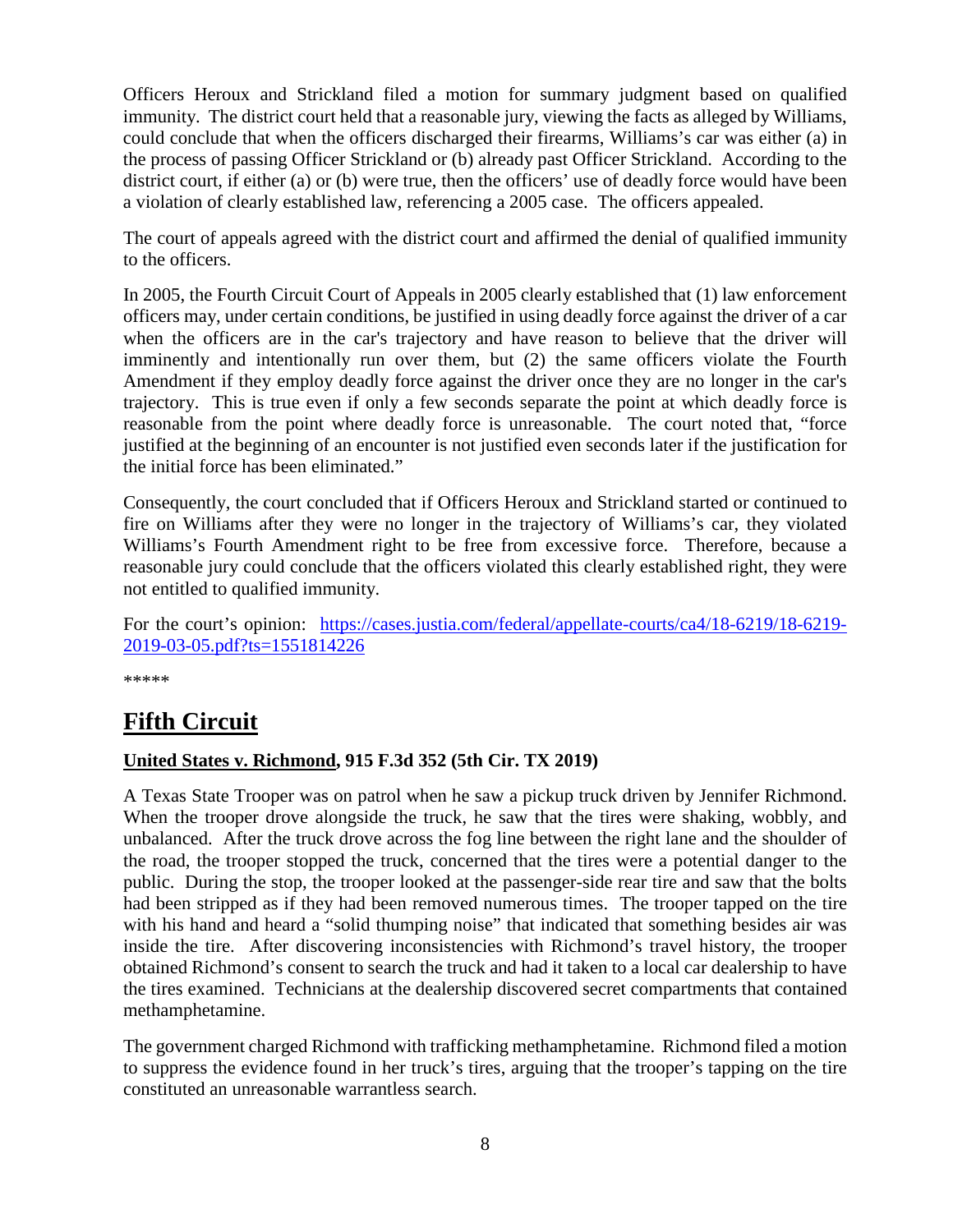Officers Heroux and Strickland filed a motion for summary judgment based on qualified immunity. The district court held that a reasonable jury, viewing the facts as alleged by Williams, could conclude that when the officers discharged their firearms, Williams's car was either (a) in the process of passing Officer Strickland or (b) already past Officer Strickland. According to the district court, if either (a) or (b) were true, then the officers' use of deadly force would have been a violation of clearly established law, referencing a 2005 case. The officers appealed.

The court of appeals agreed with the district court and affirmed the denial of qualified immunity to the officers.

In 2005, the Fourth Circuit Court of Appeals in 2005 clearly established that (1) law enforcement officers may, under certain conditions, be justified in using deadly force against the driver of a car when the officers are in the car's trajectory and have reason to believe that the driver will imminently and intentionally run over them, but (2) the same officers violate the Fourth Amendment if they employ deadly force against the driver once they are no longer in the car's trajectory. This is true even if only a few seconds separate the point at which deadly force is reasonable from the point where deadly force is unreasonable. The court noted that, "force justified at the beginning of an encounter is not justified even seconds later if the justification for the initial force has been eliminated."

Consequently, the court concluded that if Officers Heroux and Strickland started or continued to fire on Williams after they were no longer in the trajectory of Williams's car, they violated Williams's Fourth Amendment right to be free from excessive force. Therefore, because a reasonable jury could conclude that the officers violated this clearly established right, they were not entitled to qualified immunity.

For the court's opinion: [https://cases.justia.com/federal/appellate-courts/ca4/18-6219/18-6219-](https://cases.justia.com/federal/appellate-courts/ca4/18-6219/18-6219-2019-03-05.pdf?ts=1551814226) [2019-03-05.pdf?ts=1551814226](https://cases.justia.com/federal/appellate-courts/ca4/18-6219/18-6219-2019-03-05.pdf?ts=1551814226)

\*\*\*\*\*

# <span id="page-7-0"></span>**Fifth Circuit**

#### <span id="page-7-1"></span>**United States v. Richmond, 915 F.3d 352 (5th Cir. TX 2019)**

A Texas State Trooper was on patrol when he saw a pickup truck driven by Jennifer Richmond. When the trooper drove alongside the truck, he saw that the tires were shaking, wobbly, and unbalanced. After the truck drove across the fog line between the right lane and the shoulder of the road, the trooper stopped the truck, concerned that the tires were a potential danger to the public. During the stop, the trooper looked at the passenger-side rear tire and saw that the bolts had been stripped as if they had been removed numerous times. The trooper tapped on the tire with his hand and heard a "solid thumping noise" that indicated that something besides air was inside the tire. After discovering inconsistencies with Richmond's travel history, the trooper obtained Richmond's consent to search the truck and had it taken to a local car dealership to have the tires examined. Technicians at the dealership discovered secret compartments that contained methamphetamine.

The government charged Richmond with trafficking methamphetamine. Richmond filed a motion to suppress the evidence found in her truck's tires, arguing that the trooper's tapping on the tire constituted an unreasonable warrantless search.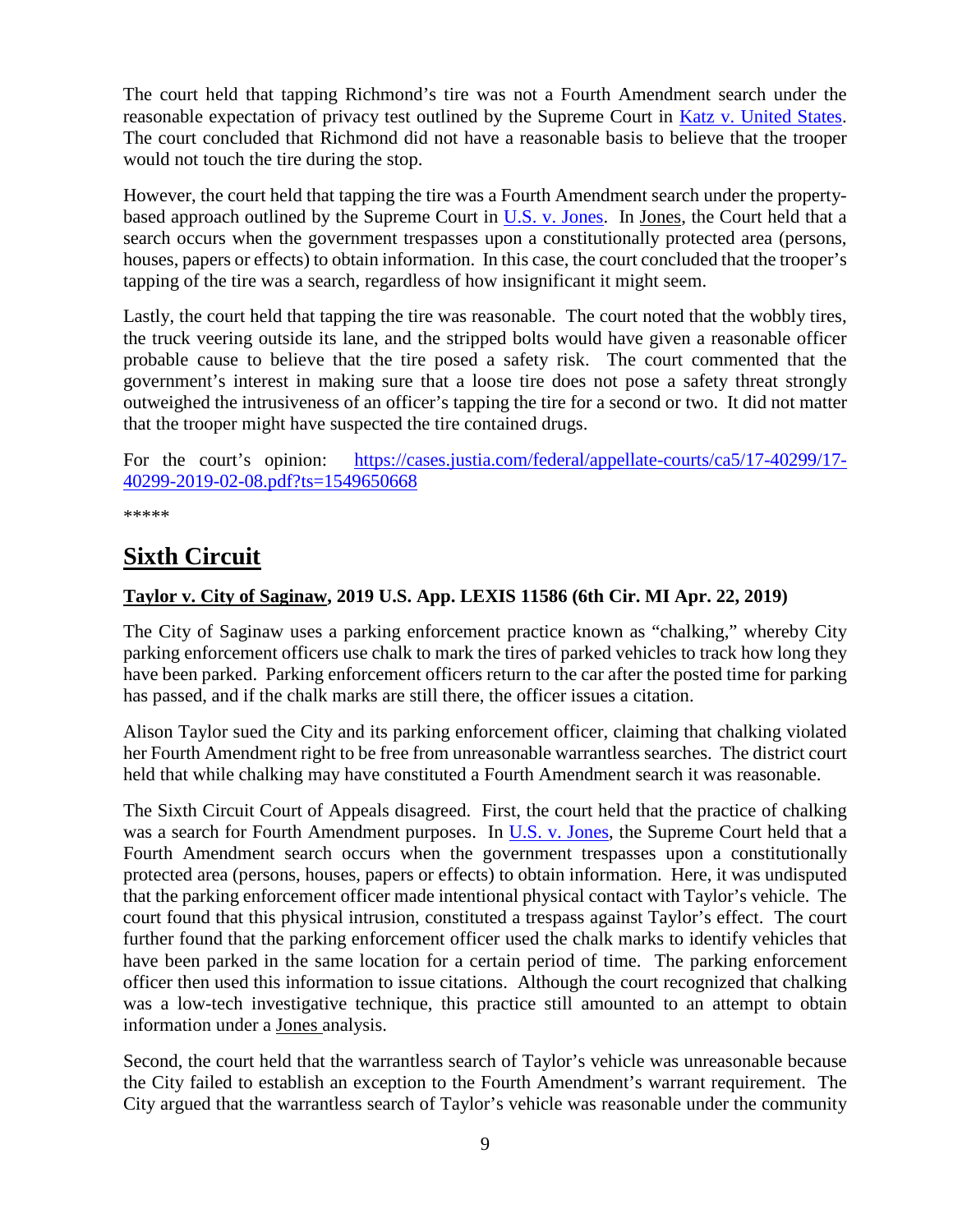The court held that tapping Richmond's tire was not a Fourth Amendment search under the reasonable expectation of privacy test outlined by the Supreme Court in [Katz v. United States.](https://supreme.justia.com/cases/federal/us/389/347/) The court concluded that Richmond did not have a reasonable basis to believe that the trooper would not touch the tire during the stop.

However, the court held that tapping the tire was a Fourth Amendment search under the propertybased approach outlined by the Supreme Court in [U.S. v. Jones.](https://www.supremecourt.gov/opinions/11pdf/10-1259.pdf) In [Jones,](https://www.supremecourt.gov/opinions/11pdf/10-1259.pdf) the Court held that a search occurs when the government trespasses upon a constitutionally protected area (persons, houses, papers or effects) to obtain information. In this case, the court concluded that the trooper's tapping of the tire was a search, regardless of how insignificant it might seem.

Lastly, the court held that tapping the tire was reasonable. The court noted that the wobbly tires, the truck veering outside its lane, and the stripped bolts would have given a reasonable officer probable cause to believe that the tire posed a safety risk. The court commented that the government's interest in making sure that a loose tire does not pose a safety threat strongly outweighed the intrusiveness of an officer's tapping the tire for a second or two. It did not matter that the trooper might have suspected the tire contained drugs.

For the court's opinion: [https://cases.justia.com/federal/appellate-courts/ca5/17-40299/17-](https://cases.justia.com/federal/appellate-courts/ca5/17-40299/17-40299-2019-02-08.pdf?ts=1549650668) [40299-2019-02-08.pdf?ts=1549650668](https://cases.justia.com/federal/appellate-courts/ca5/17-40299/17-40299-2019-02-08.pdf?ts=1549650668)

\*\*\*\*\*

# <span id="page-8-0"></span>**Sixth Circuit**

#### <span id="page-8-1"></span>**Taylor v. City of Saginaw, 2019 U.S. App. LEXIS 11586 (6th Cir. MI Apr. 22, 2019)**

The City of Saginaw uses a parking enforcement practice known as "chalking," whereby City parking enforcement officers use chalk to mark the tires of parked vehicles to track how long they have been parked. Parking enforcement officers return to the car after the posted time for parking has passed, and if the chalk marks are still there, the officer issues a citation.

Alison Taylor sued the City and its parking enforcement officer, claiming that chalking violated her Fourth Amendment right to be free from unreasonable warrantless searches. The district court held that while chalking may have constituted a Fourth Amendment search it was reasonable.

The Sixth Circuit Court of Appeals disagreed. First, the court held that the practice of chalking was a search for Fourth Amendment purposes. In [U.S. v. Jones,](https://www.supremecourt.gov/opinions/11pdf/10-1259.pdf) the Supreme Court held that a Fourth Amendment search occurs when the government trespasses upon a constitutionally protected area (persons, houses, papers or effects) to obtain information. Here, it was undisputed that the parking enforcement officer made intentional physical contact with Taylor's vehicle. The court found that this physical intrusion, constituted a trespass against Taylor's effect. The court further found that the parking enforcement officer used the chalk marks to identify vehicles that have been parked in the same location for a certain period of time. The parking enforcement officer then used this information to issue citations. Although the court recognized that chalking was a low-tech investigative technique, this practice still amounted to an attempt to obtain information under a Jones analysis.

Second, the court held that the warrantless search of Taylor's vehicle was unreasonable because the City failed to establish an exception to the Fourth Amendment's warrant requirement. The City argued that the warrantless search of Taylor's vehicle was reasonable under the community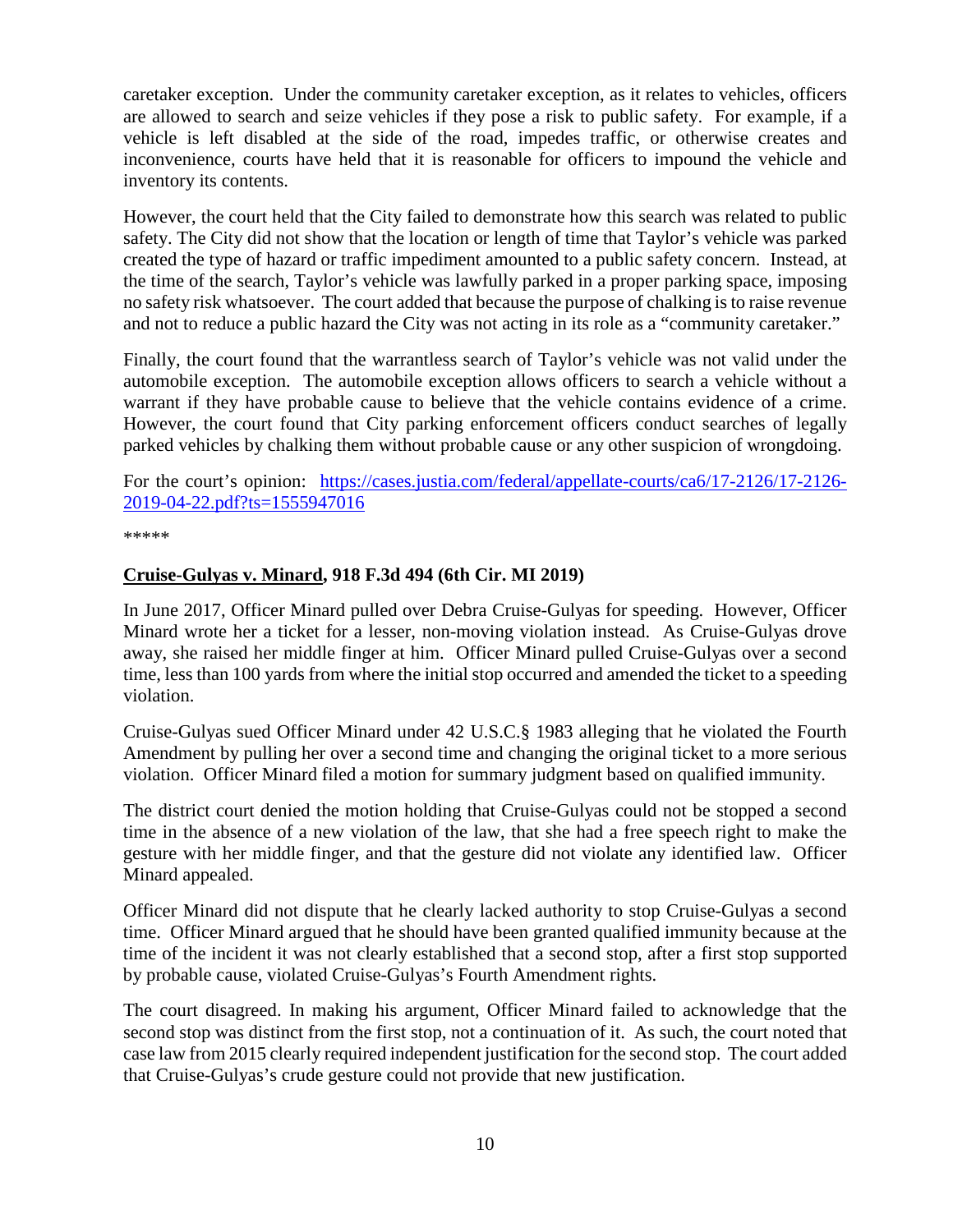caretaker exception. Under the community caretaker exception, as it relates to vehicles, officers are allowed to search and seize vehicles if they pose a risk to public safety. For example, if a vehicle is left disabled at the side of the road, impedes traffic, or otherwise creates and inconvenience, courts have held that it is reasonable for officers to impound the vehicle and inventory its contents.

However, the court held that the City failed to demonstrate how this search was related to public safety. The City did not show that the location or length of time that Taylor's vehicle was parked created the type of hazard or traffic impediment amounted to a public safety concern. Instead, at the time of the search, Taylor's vehicle was lawfully parked in a proper parking space, imposing no safety risk whatsoever. The court added that because the purpose of chalking is to raise revenue and not to reduce a public hazard the City was not acting in its role as a "community caretaker."

Finally, the court found that the warrantless search of Taylor's vehicle was not valid under the automobile exception. The automobile exception allows officers to search a vehicle without a warrant if they have probable cause to believe that the vehicle contains evidence of a crime. However, the court found that City parking enforcement officers conduct searches of legally parked vehicles by chalking them without probable cause or any other suspicion of wrongdoing.

For the court's opinion: [https://cases.justia.com/federal/appellate-courts/ca6/17-2126/17-2126-](https://cases.justia.com/federal/appellate-courts/ca6/17-2126/17-2126-2019-04-22.pdf?ts=1555947016) [2019-04-22.pdf?ts=1555947016](https://cases.justia.com/federal/appellate-courts/ca6/17-2126/17-2126-2019-04-22.pdf?ts=1555947016)

\*\*\*\*\*

#### **Cruise-Gulyas v. Minard, 918 F.3d 494 (6th Cir. MI 2019)**

In June 2017, Officer Minard pulled over Debra Cruise-Gulyas for speeding. However, Officer Minard wrote her a ticket for a lesser, non-moving violation instead. As Cruise-Gulyas drove away, she raised her middle finger at him. Officer Minard pulled Cruise-Gulyas over a second time, less than 100 yards from where the initial stop occurred and amended the ticket to a speeding violation.

Cruise-Gulyas sued Officer Minard under 42 U.S.C.§ 1983 alleging that he violated the Fourth Amendment by pulling her over a second time and changing the original ticket to a more serious violation. Officer Minard filed a motion for summary judgment based on qualified immunity.

The district court denied the motion holding that Cruise-Gulyas could not be stopped a second time in the absence of a new violation of the law, that she had a free speech right to make the gesture with her middle finger, and that the gesture did not violate any identified law. Officer Minard appealed.

Officer Minard did not dispute that he clearly lacked authority to stop Cruise-Gulyas a second time. Officer Minard argued that he should have been granted qualified immunity because at the time of the incident it was not clearly established that a second stop, after a first stop supported by probable cause, violated Cruise-Gulyas's Fourth Amendment rights.

The court disagreed. In making his argument, Officer Minard failed to acknowledge that the second stop was distinct from the first stop, not a continuation of it. As such, the court noted that case law from 2015 clearly required independent justification for the second stop. The court added that Cruise-Gulyas's crude gesture could not provide that new justification.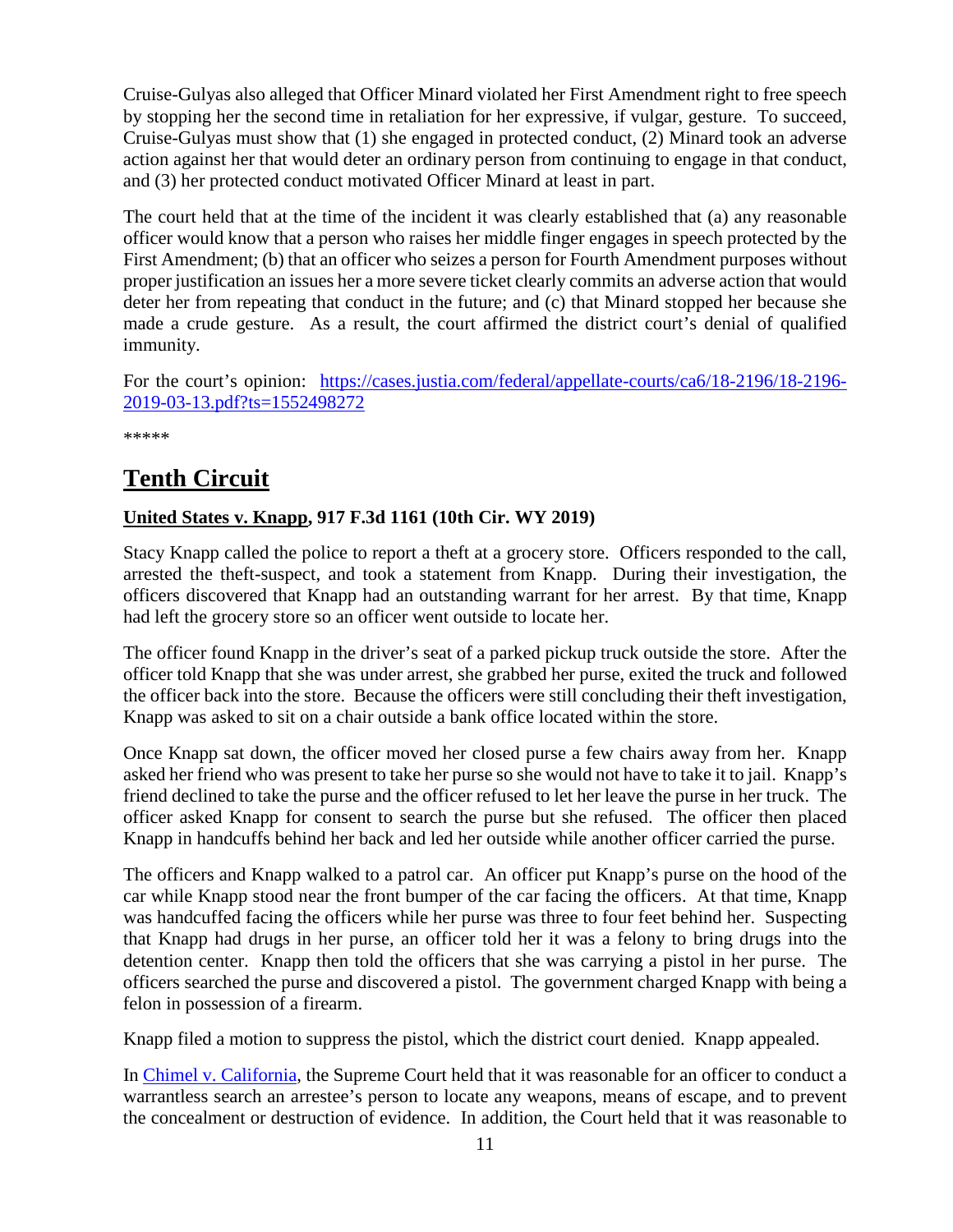Cruise-Gulyas also alleged that Officer Minard violated her First Amendment right to free speech by stopping her the second time in retaliation for her expressive, if vulgar, gesture. To succeed, Cruise-Gulyas must show that (1) she engaged in protected conduct, (2) Minard took an adverse action against her that would deter an ordinary person from continuing to engage in that conduct, and (3) her protected conduct motivated Officer Minard at least in part.

The court held that at the time of the incident it was clearly established that (a) any reasonable officer would know that a person who raises her middle finger engages in speech protected by the First Amendment; (b) that an officer who seizes a person for Fourth Amendment purposes without proper justification an issues her a more severe ticket clearly commits an adverse action that would deter her from repeating that conduct in the future; and (c) that Minard stopped her because she made a crude gesture. As a result, the court affirmed the district court's denial of qualified immunity.

For the court's opinion: [https://cases.justia.com/federal/appellate-courts/ca6/18-2196/18-2196-](https://cases.justia.com/federal/appellate-courts/ca6/18-2196/18-2196-2019-03-13.pdf?ts=1552498272) [2019-03-13.pdf?ts=1552498272](https://cases.justia.com/federal/appellate-courts/ca6/18-2196/18-2196-2019-03-13.pdf?ts=1552498272)

\*\*\*\*\*

# <span id="page-10-0"></span>**Tenth Circuit**

## <span id="page-10-1"></span>**United States v. Knapp, 917 F.3d 1161 (10th Cir. WY 2019)**

Stacy Knapp called the police to report a theft at a grocery store. Officers responded to the call, arrested the theft-suspect, and took a statement from Knapp. During their investigation, the officers discovered that Knapp had an outstanding warrant for her arrest. By that time, Knapp had left the grocery store so an officer went outside to locate her.

The officer found Knapp in the driver's seat of a parked pickup truck outside the store. After the officer told Knapp that she was under arrest, she grabbed her purse, exited the truck and followed the officer back into the store. Because the officers were still concluding their theft investigation, Knapp was asked to sit on a chair outside a bank office located within the store.

Once Knapp sat down, the officer moved her closed purse a few chairs away from her. Knapp asked her friend who was present to take her purse so she would not have to take it to jail. Knapp's friend declined to take the purse and the officer refused to let her leave the purse in her truck. The officer asked Knapp for consent to search the purse but she refused. The officer then placed Knapp in handcuffs behind her back and led her outside while another officer carried the purse.

The officers and Knapp walked to a patrol car. An officer put Knapp's purse on the hood of the car while Knapp stood near the front bumper of the car facing the officers. At that time, Knapp was handcuffed facing the officers while her purse was three to four feet behind her. Suspecting that Knapp had drugs in her purse, an officer told her it was a felony to bring drugs into the detention center. Knapp then told the officers that she was carrying a pistol in her purse. The officers searched the purse and discovered a pistol. The government charged Knapp with being a felon in possession of a firearm.

Knapp filed a motion to suppress the pistol, which the district court denied. Knapp appealed.

In [Chimel v. California,](https://supreme.justia.com/cases/federal/us/395/752/) the Supreme Court held that it was reasonable for an officer to conduct a warrantless search an arrestee's person to locate any weapons, means of escape, and to prevent the concealment or destruction of evidence. In addition, the Court held that it was reasonable to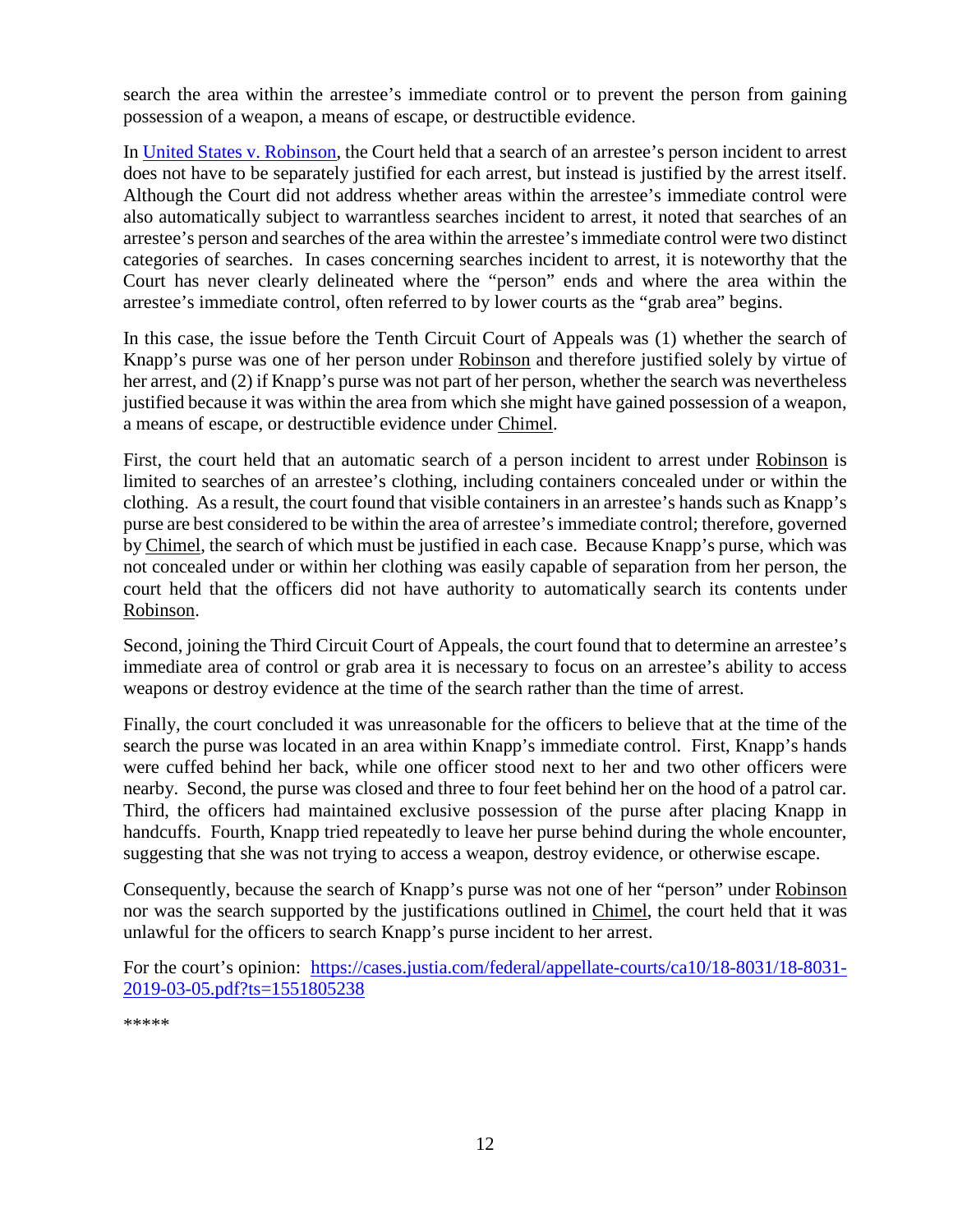search the area within the arrestee's immediate control or to prevent the person from gaining possession of a weapon, a means of escape, or destructible evidence.

In [United States v. Robinson,](uhttps://supreme.justia.com/cases/federal/us/414/218/) the Court held that a search of an arrestee's person incident to arrest does not have to be separately justified for each arrest, but instead is justified by the arrest itself. Although the Court did not address whether areas within the arrestee's immediate control were also automatically subject to warrantless searches incident to arrest, it noted that searches of an arrestee's person and searches of the area within the arrestee's immediate control were two distinct categories of searches. In cases concerning searches incident to arrest, it is noteworthy that the Court has never clearly delineated where the "person" ends and where the area within the arrestee's immediate control, often referred to by lower courts as the "grab area" begins.

In this case, the issue before the Tenth Circuit Court of Appeals was (1) whether the search of Knapp's purse was one of her person under Robinson and therefore justified solely by virtue of her arrest, and (2) if Knapp's purse was not part of her person, whether the search was nevertheless justified because it was within the area from which she might have gained possession of a weapon, a means of escape, or destructible evidence under Chimel.

First, the court held that an automatic search of a person incident to arrest under Robinson is limited to searches of an arrestee's clothing, including containers concealed under or within the clothing. As a result, the court found that visible containers in an arrestee's hands such as Knapp's purse are best considered to be within the area of arrestee's immediate control; therefore, governed by Chimel, the search of which must be justified in each case. Because Knapp's purse, which was not concealed under or within her clothing was easily capable of separation from her person, the court held that the officers did not have authority to automatically search its contents under Robinson.

Second, joining the Third Circuit Court of Appeals, the court found that to determine an arrestee's immediate area of control or grab area it is necessary to focus on an arrestee's ability to access weapons or destroy evidence at the time of the search rather than the time of arrest.

Finally, the court concluded it was unreasonable for the officers to believe that at the time of the search the purse was located in an area within Knapp's immediate control. First, Knapp's hands were cuffed behind her back, while one officer stood next to her and two other officers were nearby. Second, the purse was closed and three to four feet behind her on the hood of a patrol car. Third, the officers had maintained exclusive possession of the purse after placing Knapp in handcuffs. Fourth, Knapp tried repeatedly to leave her purse behind during the whole encounter, suggesting that she was not trying to access a weapon, destroy evidence, or otherwise escape.

Consequently, because the search of Knapp's purse was not one of her "person" under Robinson nor was the search supported by the justifications outlined in Chimel, the court held that it was unlawful for the officers to search Knapp's purse incident to her arrest.

For the court's opinion: [https://cases.justia.com/federal/appellate-courts/ca10/18-8031/18-8031-](https://cases.justia.com/federal/appellate-courts/ca10/18-8031/18-8031-2019-03-05.pdf?ts=1551805238) [2019-03-05.pdf?ts=1551805238](https://cases.justia.com/federal/appellate-courts/ca10/18-8031/18-8031-2019-03-05.pdf?ts=1551805238)

\*\*\*\*\*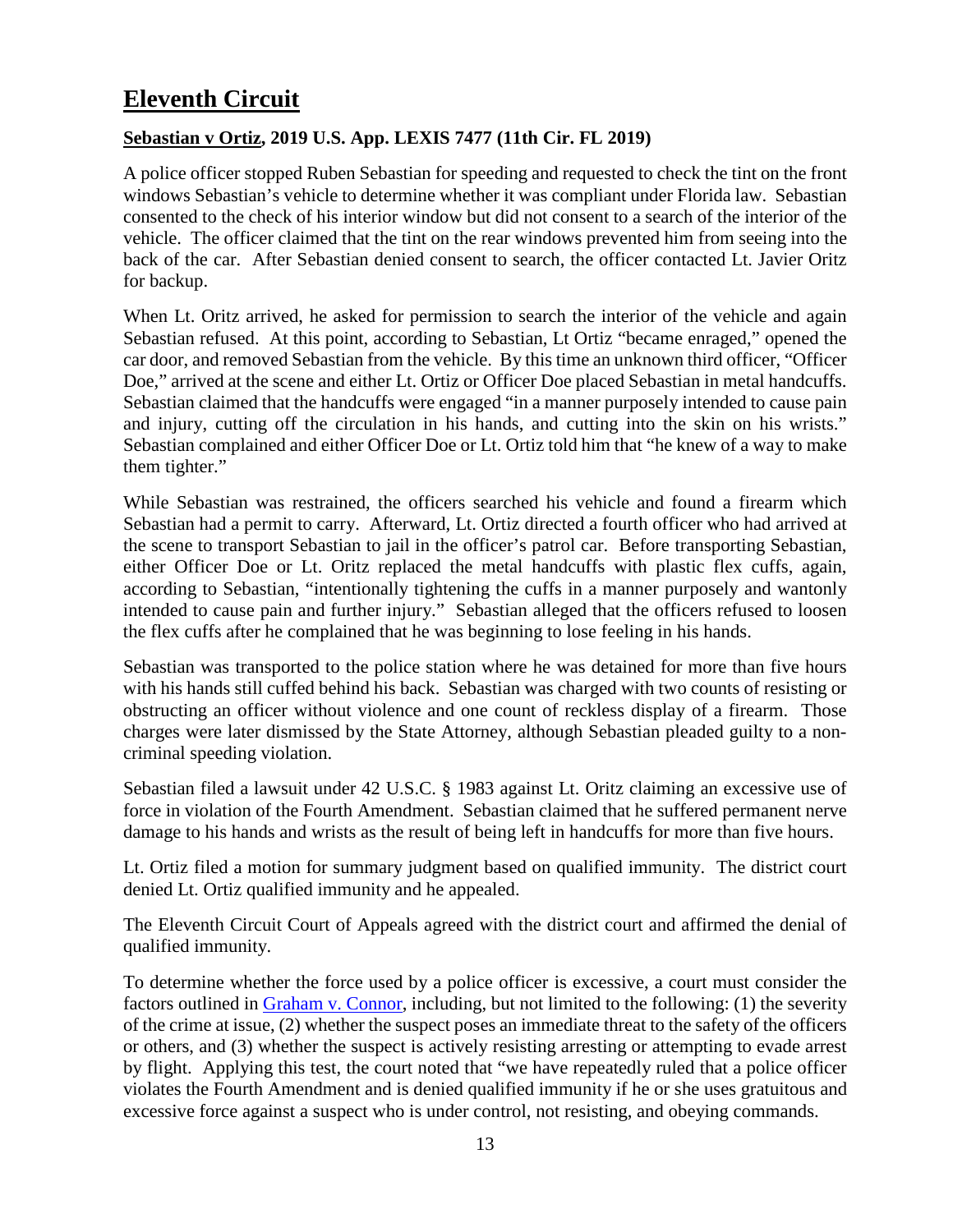# <span id="page-12-0"></span>**Eleventh Circuit**

#### <span id="page-12-1"></span>**Sebastian v Ortiz, 2019 U.S. App. LEXIS 7477 (11th Cir. FL 2019)**

A police officer stopped Ruben Sebastian for speeding and requested to check the tint on the front windows Sebastian's vehicle to determine whether it was compliant under Florida law. Sebastian consented to the check of his interior window but did not consent to a search of the interior of the vehicle. The officer claimed that the tint on the rear windows prevented him from seeing into the back of the car. After Sebastian denied consent to search, the officer contacted Lt. Javier Oritz for backup.

When Lt. Oritz arrived, he asked for permission to search the interior of the vehicle and again Sebastian refused. At this point, according to Sebastian, Lt Ortiz "became enraged," opened the car door, and removed Sebastian from the vehicle. By this time an unknown third officer, "Officer Doe," arrived at the scene and either Lt. Ortiz or Officer Doe placed Sebastian in metal handcuffs. Sebastian claimed that the handcuffs were engaged "in a manner purposely intended to cause pain and injury, cutting off the circulation in his hands, and cutting into the skin on his wrists." Sebastian complained and either Officer Doe or Lt. Ortiz told him that "he knew of a way to make them tighter."

While Sebastian was restrained, the officers searched his vehicle and found a firearm which Sebastian had a permit to carry. Afterward, Lt. Ortiz directed a fourth officer who had arrived at the scene to transport Sebastian to jail in the officer's patrol car. Before transporting Sebastian, either Officer Doe or Lt. Oritz replaced the metal handcuffs with plastic flex cuffs, again, according to Sebastian, "intentionally tightening the cuffs in a manner purposely and wantonly intended to cause pain and further injury." Sebastian alleged that the officers refused to loosen the flex cuffs after he complained that he was beginning to lose feeling in his hands.

Sebastian was transported to the police station where he was detained for more than five hours with his hands still cuffed behind his back. Sebastian was charged with two counts of resisting or obstructing an officer without violence and one count of reckless display of a firearm. Those charges were later dismissed by the State Attorney, although Sebastian pleaded guilty to a noncriminal speeding violation.

Sebastian filed a lawsuit under 42 U.S.C. § 1983 against Lt. Oritz claiming an excessive use of force in violation of the Fourth Amendment. Sebastian claimed that he suffered permanent nerve damage to his hands and wrists as the result of being left in handcuffs for more than five hours.

Lt. Ortiz filed a motion for summary judgment based on qualified immunity. The district court denied Lt. Ortiz qualified immunity and he appealed.

The Eleventh Circuit Court of Appeals agreed with the district court and affirmed the denial of qualified immunity.

To determine whether the force used by a police officer is excessive, a court must consider the factors outlined in [Graham v. Connor,](https://supreme.justia.com/cases/federal/us/490/386/) including, but not limited to the following: (1) the severity of the crime at issue, (2) whether the suspect poses an immediate threat to the safety of the officers or others, and (3) whether the suspect is actively resisting arresting or attempting to evade arrest by flight. Applying this test, the court noted that "we have repeatedly ruled that a police officer violates the Fourth Amendment and is denied qualified immunity if he or she uses gratuitous and excessive force against a suspect who is under control, not resisting, and obeying commands.